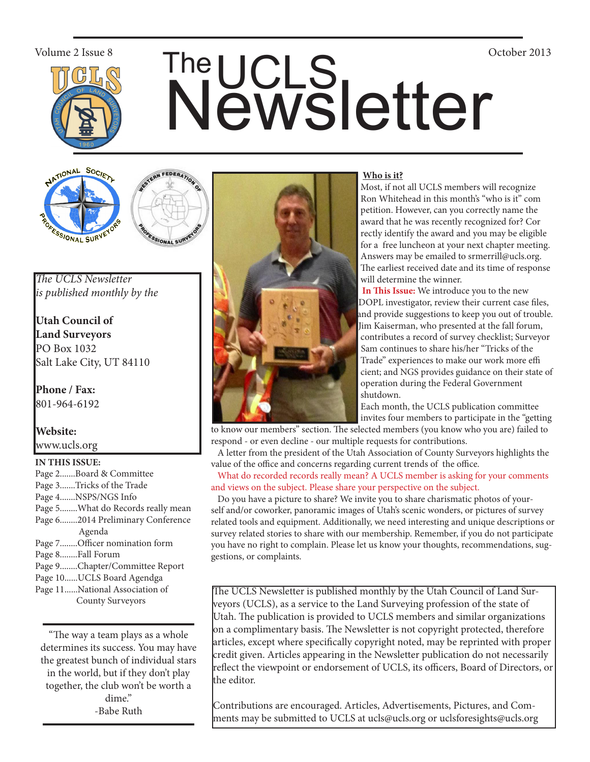

# Volume 2 Issue 8<br>
The UCLS<br>
Newsletter





*The UCLS Newsletter is published monthly by the*

**Utah Council of Land Surveyors** PO Box 1032 Salt Lake City, UT 84110

**Phone / Fax:**  801-964-6192

**Website:** www.ucls.org

### **IN THIS ISSUE:**

- Page 2.......Board & Committee Page 3.......Tricks of the Trade Page 4.......NSPS/NGS Info Page 5........What do Records really mean Page 6........2014 Preliminary Conference Agenda Page 7........Officer nomination form Page 8........Fall Forum Page 9........Chapter/Committee Report Page 10......UCLS Board Agendga
- Page 11......National Association of County Surveyors

"The way a team plays as a whole determines its success. You may have the greatest bunch of individual stars in the world, but if they don't play together, the club won't be worth a dime." -Babe Ruth



### **Who is it?**

 Most, if not all UCLS members will recognize Ron Whitehead in this month's "who is it" com petition. However, can you correctly name the award that he was recently recognized for? Cor rectly identify the award and you may be eligible for a free luncheon at your next chapter meeting. Answers may be emailed to srmerrill@ucls.org. The earliest received date and its time of response will determine the winner.

 **In This Issue:** We introduce you to the new DOPL investigator, review their current case files, and provide suggestions to keep you out of trouble. Jim Kaiserman, who presented at the fall forum, contributes a record of survey checklist; Surveyor Sam continues to share his/her "Tricks of the Trade" experiences to make our work more effi cient; and NGS provides guidance on their state of operation during the Federal Government shutdown.

 Each month, the UCLS publication committee invites four members to participate in the "getting

to know our members" section. The selected members (you know who you are) failed to respond - or even decline - our multiple requests for contributions.

 A letter from the president of the Utah Association of County Surveyors highlights the value of the office and concerns regarding current trends of the office.

 What do recorded records really mean? A UCLS member is asking for your comments and views on the subject. Please share your perspective on the subject.

 Do you have a picture to share? We invite you to share charismatic photos of yourself and/or coworker, panoramic images of Utah's scenic wonders, or pictures of survey related tools and equipment. Additionally, we need interesting and unique descriptions or survey related stories to share with our membership. Remember, if you do not participate you have no right to complain. Please let us know your thoughts, recommendations, suggestions, or complaints.

The UCLS Newsletter is published monthly by the Utah Council of Land Surveyors (UCLS), as a service to the Land Surveying profession of the state of Utah. The publication is provided to UCLS members and similar organizations on a complimentary basis. The Newsletter is not copyright protected, therefore articles, except where specifically copyright noted, may be reprinted with proper credit given. Articles appearing in the Newsletter publication do not necessarily reflect the viewpoint or endorsement of UCLS, its officers, Board of Directors, or the editor.

Contributions are encouraged. Articles, Advertisements, Pictures, and Comments may be submitted to UCLS at ucls@ucls.org or uclsforesights@ucls.org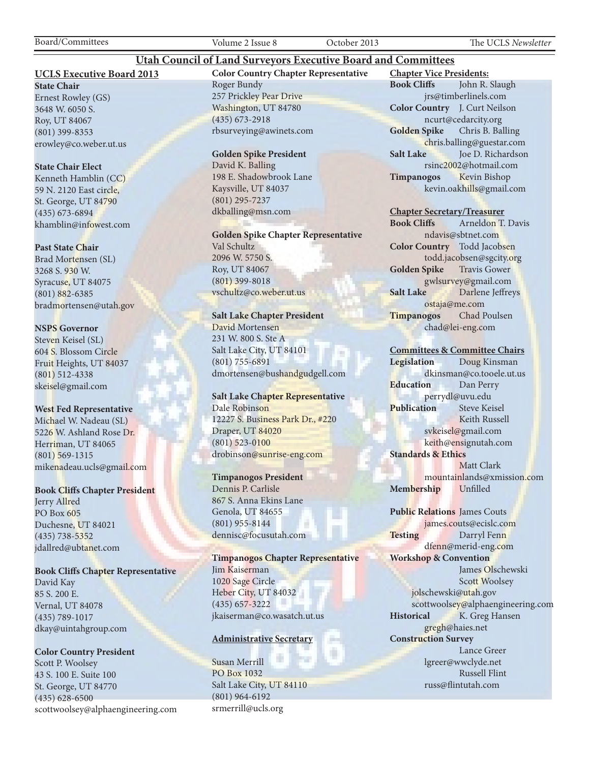Board/Committees Volume 2 Issue 8 October 2013 The UCLS *Newsletter*

### **UCLS Executive Board 2013**

**State Chair** Ernest Rowley (GS) 3648 W. 6050 S. Roy, UT 84067 (801) 399-8353 erowley@co.weber.ut.us

### **State Chair Elect**

Kenneth Hamblin (CC) 59 N. 2120 East circle, St. George, UT 84790 (435) 673-6894 khamblin@infowest.com

### **Past State Chair**

Brad Mortensen (SL) 3268 S. 930 W. Syracuse, UT 84075 (801) 882-6385 bradmortensen@utah.gov

### **NSPS Governor**

Steven Keisel (SL) 604 S. Blossom Circle Fruit Heights, UT 84037 (801) 512-4338 skeisel@gmail.com

### **West Fed Representative**

Michael W. Nadeau (SL) 5226 W. Ashland Rose Dr. Herriman, UT 84065 (801) 569-1315 mikenadeau.ucls@gmail.com

### **Book Cliffs Chapter President**

Jerry Allred PO Box 605 Duchesne, UT 84021 (435) 738-5352 jdallred@ubtanet.com

### **Book Cliffs Chapter Representative**

David Kay 85 S. 200 E. Vernal, UT 84078 (435) 789-1017 dkay@uintahgroup.com

### **Color Country President**

Scott P. Woolsey 43 S. 100 E. Suite 100 St. George, UT 84770 (435) 628-6500 scottwoolsey@alphaengineering.com **Color Country Chapter Representative** Roger Bundy 257 Prickley Pear Drive Washington, UT 84780 (435) 673-2918 rbsurveying@awinets.com

**Utah Council of Land Surveyors Executive Board and Committees**

### **Golden Spike President**

David K. Balling 198 E. Shadowbrook Lane Kaysville, UT 84037 (801) 295-7237 dkballing@msn.com

**Golden Spike Chapter Representative** Val Schultz 2096 W. 5750 S. Roy, UT 84067 (801) 399-8018 vschultz@co.weber.ut.us

### **Salt Lake Chapter President**

David Mortensen 231 W. 800 S. Ste A Salt Lake City, UT 84101 (801) 755-6891 dmortensen@bushandgudgell.com

### **Salt Lake Chapter Representative** Dale Robinson 12227 S. Business Park Dr., #220 Draper, UT 84020 (801) 523-0100 drobinson@sunrise-eng.com

# **Timpanogos President**

Dennis P. Carlisle 867 S. Anna Ekins Lane Genola, UT 84655 (801) 955-8144 dennisc@focusutah.com

**Timpanogos Chapter Representative** Jim Kaiserman 1020 Sage Circle Heber City, UT 84032 (435) 657-3222 jkaiserman@co.wasatch.ut.us

### **Administrative Secretary**

Susan Merrill PO Box 1032 Salt Lake City, UT 84110 (801) 964-6192 srmerrill@ucls.org

**Chapter Vice Presidents: Book Cliffs** John R. Slaugh jrs@timberlinels.com **Color Country** J. Curt Neilson ncurt@cedarcity.org **Golden Spike** Chris B. Balling chris.balling@guestar.com **Salt Lake** Joe D. Richardson rsinc2002@hotmail.com **Timpanogos** Kevin Bishop kevin.oakhills@gmail.com

### **Chapter Secretary/Treasurer**

**Book Cliffs** Arneldon T. Davis ndavis@sbtnet.com **Color Country** Todd Jacobsen todd.jacobsen@sgcity.org **Golden Spike** Travis Gower gwlsurvey@gmail.com **Salt Lake** Darlene Jeffreys ostaja@me.com **Timpanogos** Chad Poulsen chad@lei-eng.com

### **Committees & Committee Chairs**

**Legislation** Doug Kinsman dkinsman@co.tooele.ut.us **Education** Dan Perry perrydl@uvu.edu **Publication** Steve Keisel Keith Russell svkeisel@gmail.com keith@ensignutah.com **Standards & Ethics** Matt Clark mountainlands@xmission.com **Membership** Unfilled

**Public Relations** James Couts james.couts@ecislc.com Testing Darryl Fenn dfenn@merid-eng.com **Workshop & Convention** James Olschewski Scott Woolsey jolschewski@utah.gov scottwoolsey@alphaengineering.com **Historical** K. Greg Hansen gregh@haies.net **Construction Survey** Lance Greer lgreer@wwclyde.net Russell Flint russ@flintutah.com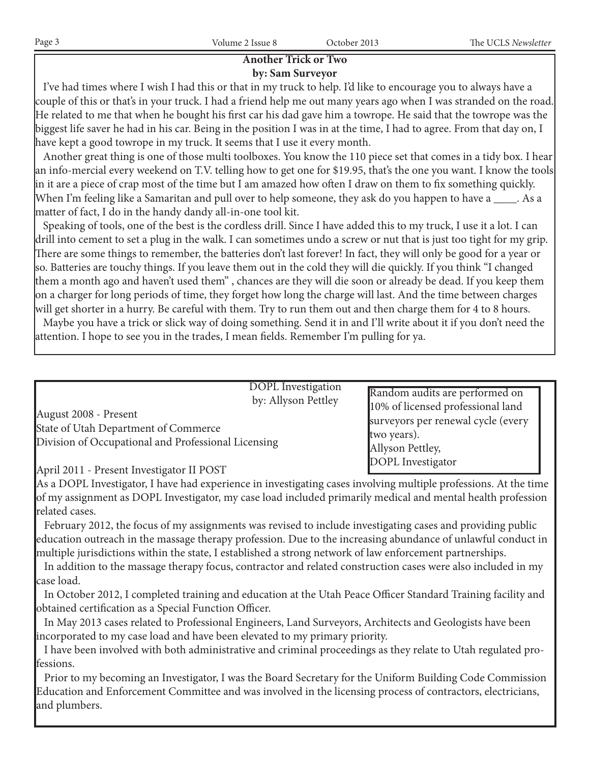# **Another Trick or Two**

# **by: Sam Surveyor**

 I've had times where I wish I had this or that in my truck to help. I'd like to encourage you to always have a couple of this or that's in your truck. I had a friend help me out many years ago when I was stranded on the road. He related to me that when he bought his first car his dad gave him a towrope. He said that the towrope was the biggest life saver he had in his car. Being in the position I was in at the time, I had to agree. From that day on, I have kept a good towrope in my truck. It seems that I use it every month.

 Another great thing is one of those multi toolboxes. You know the 110 piece set that comes in a tidy box. I hear an info-mercial every weekend on T.V. telling how to get one for \$19.95, that's the one you want. I know the tools in it are a piece of crap most of the time but I am amazed how often I draw on them to fix something quickly. When I'm feeling like a Samaritan and pull over to help someone, they ask do you happen to have a \_\_\_\_. As a matter of fact, I do in the handy dandy all-in-one tool kit.

 Speaking of tools, one of the best is the cordless drill. Since I have added this to my truck, I use it a lot. I can drill into cement to set a plug in the walk. I can sometimes undo a screw or nut that is just too tight for my grip. There are some things to remember, the batteries don't last forever! In fact, they will only be good for a year or so. Batteries are touchy things. If you leave them out in the cold they will die quickly. If you think "I changed them a month ago and haven't used them" , chances are they will die soon or already be dead. If you keep them on a charger for long periods of time, they forget how long the charge will last. And the time between charges will get shorter in a hurry. Be careful with them. Try to run them out and then charge them for 4 to 8 hours. Maybe you have a trick or slick way of doing something. Send it in and I'll write about it if you don't need the

attention. I hope to see you in the trades, I mean fields. Remember I'm pulling for ya.

DOPL Investigation by: Allyson Pettley

August 2008 - Present State of Utah Department of Commerce Division of Occupational and Professional Licensing Random audits are performed on 10% of licensed professional land surveyors per renewal cycle (every two years). Allyson Pettley, DOPL Investigator

April 2011 - Present Investigator II POST

As a DOPL Investigator, I have had experience in investigating cases involving multiple professions. At the time of my assignment as DOPL Investigator, my case load included primarily medical and mental health profession related cases.

 February 2012, the focus of my assignments was revised to include investigating cases and providing public education outreach in the massage therapy profession. Due to the increasing abundance of unlawful conduct in multiple jurisdictions within the state, I established a strong network of law enforcement partnerships.

 In addition to the massage therapy focus, contractor and related construction cases were also included in my case load.

 In October 2012, I completed training and education at the Utah Peace Officer Standard Training facility and obtained certification as a Special Function Officer.

 In May 2013 cases related to Professional Engineers, Land Surveyors, Architects and Geologists have been incorporated to my case load and have been elevated to my primary priority.

 I have been involved with both administrative and criminal proceedings as they relate to Utah regulated professions.

 Prior to my becoming an Investigator, I was the Board Secretary for the Uniform Building Code Commission Education and Enforcement Committee and was involved in the licensing process of contractors, electricians, and plumbers.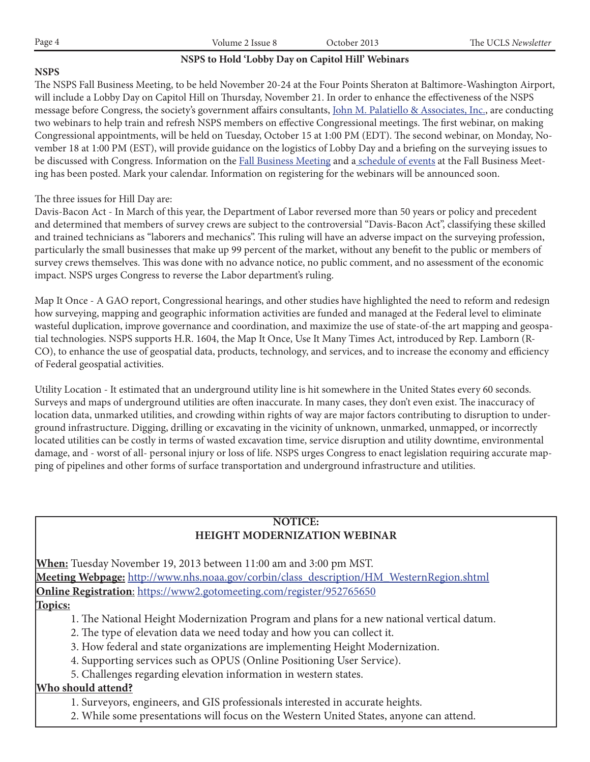| Page 4 | Volume 2 Issue 8                                  | October 2013 | The UCLS Newsletter |
|--------|---------------------------------------------------|--------------|---------------------|
|        | NSPS to Hold 'Lobby Day on Capitol Hill' Webinars |              |                     |

# **NSPS**

The NSPS Fall Business Meeting, to be held November 20-24 at the Four Points Sheraton at Baltimore-Washington Airport, will include a Lobby Day on Capitol Hill on Thursday, November 21. In order to enhance the effectiveness of the NSPS message before Congress, the society's government affairs consultants, John M. Palatiello & Associates, Inc., are conducting two webinars to help train and refresh NSPS members on effective Congressional meetings. The first webinar, on making Congressional appointments, will be held on Tuesday, October 15 at 1:00 PM (EDT). The second webinar, on Monday, November 18 at 1:00 PM (EST), will provide guidance on the logistics of Lobby Day and a briefing on the surveying issues to be discussed with Congress. Information on the Fall Business Meeting and a schedule of events at the Fall Business Meeting has been posted. Mark your calendar. Information on registering for the webinars will be announced soon.

# The three issues for Hill Day are:

Davis-Bacon Act - In March of this year, the Department of Labor reversed more than 50 years or policy and precedent and determined that members of survey crews are subject to the controversial "Davis-Bacon Act", classifying these skilled and trained technicians as "laborers and mechanics". This ruling will have an adverse impact on the surveying profession, particularly the small businesses that make up 99 percent of the market, without any benefit to the public or members of survey crews themselves. This was done with no advance notice, no public comment, and no assessment of the economic impact. NSPS urges Congress to reverse the Labor department's ruling.

Map It Once - A GAO report, Congressional hearings, and other studies have highlighted the need to reform and redesign how surveying, mapping and geographic information activities are funded and managed at the Federal level to eliminate wasteful duplication, improve governance and coordination, and maximize the use of state-of-the art mapping and geospatial technologies. NSPS supports H.R. 1604, the Map It Once, Use It Many Times Act, introduced by Rep. Lamborn (R-CO), to enhance the use of geospatial data, products, technology, and services, and to increase the economy and efficiency of Federal geospatial activities.

Utility Location - It estimated that an underground utility line is hit somewhere in the United States every 60 seconds. Surveys and maps of underground utilities are often inaccurate. In many cases, they don't even exist. The inaccuracy of location data, unmarked utilities, and crowding within rights of way are major factors contributing to disruption to underground infrastructure. Digging, drilling or excavating in the vicinity of unknown, unmarked, unmapped, or incorrectly located utilities can be costly in terms of wasted excavation time, service disruption and utility downtime, environmental damage, and - worst of all- personal injury or loss of life. NSPS urges Congress to enact legislation requiring accurate mapping of pipelines and other forms of surface transportation and underground infrastructure and utilities.

# **NOTICE: HEIGHT MODERNIZATION WEBINAR**

**When:** Tuesday November 19, 2013 between 11:00 am and 3:00 pm MST. **Meeting Webpage:** http://www.nhs.noaa.gov/corbin/class\_description/HM\_WesternRegion.shtml **Online Registration**: https://www2.gotomeeting.com/register/952765650

# **Topics:**

- 1. The National Height Modernization Program and plans for a new national vertical datum.
- 2. The type of elevation data we need today and how you can collect it.
- 3. How federal and state organizations are implementing Height Modernization.
- 4. Supporting services such as OPUS (Online Positioning User Service).
- 5. Challenges regarding elevation information in western states.

# **Who should attend?**

- 1. Surveyors, engineers, and GIS professionals interested in accurate heights.
- 2. While some presentations will focus on the Western United States, anyone can attend.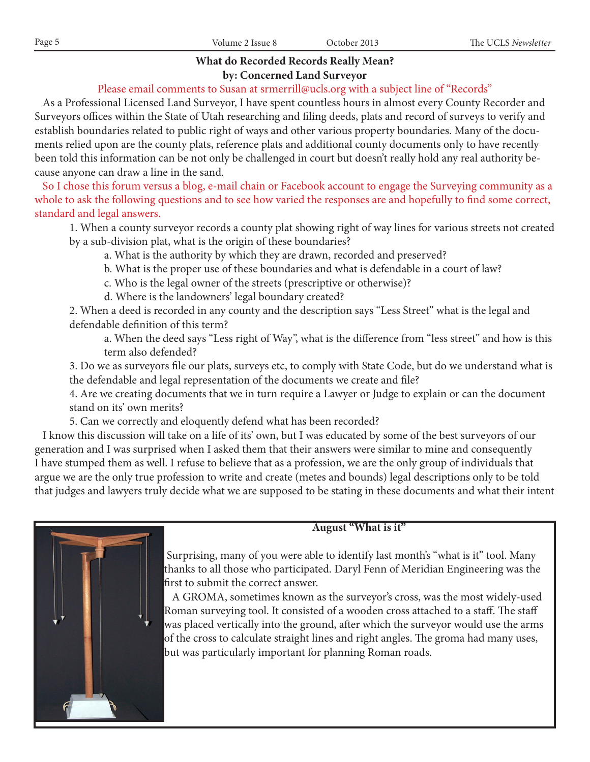# **What do Recorded Records Really Mean?**

# **by: Concerned Land Surveyor**

# Please email comments to Susan at srmerrill@ucls.org with a subject line of "Records"

 As a Professional Licensed Land Surveyor, I have spent countless hours in almost every County Recorder and Surveyors offices within the State of Utah researching and filing deeds, plats and record of surveys to verify and establish boundaries related to public right of ways and other various property boundaries. Many of the documents relied upon are the county plats, reference plats and additional county documents only to have recently been told this information can be not only be challenged in court but doesn't really hold any real authority because anyone can draw a line in the sand.

 So I chose this forum versus a blog, e-mail chain or Facebook account to engage the Surveying community as a whole to ask the following questions and to see how varied the responses are and hopefully to find some correct, standard and legal answers.

1. When a county surveyor records a county plat showing right of way lines for various streets not created by a sub-division plat, what is the origin of these boundaries?

- a. What is the authority by which they are drawn, recorded and preserved?
- b. What is the proper use of these boundaries and what is defendable in a court of law?
- c. Who is the legal owner of the streets (prescriptive or otherwise)?
- d. Where is the landowners' legal boundary created?

2. When a deed is recorded in any county and the description says "Less Street" what is the legal and defendable definition of this term?

 a. When the deed says "Less right of Way", what is the difference from "less street" and how is this term also defended?

3. Do we as surveyors file our plats, surveys etc, to comply with State Code, but do we understand what is the defendable and legal representation of the documents we create and file?

4. Are we creating documents that we in turn require a Lawyer or Judge to explain or can the document stand on its' own merits?

5. Can we correctly and eloquently defend what has been recorded?

 I know this discussion will take on a life of its' own, but I was educated by some of the best surveyors of our generation and I was surprised when I asked them that their answers were similar to mine and consequently I have stumped them as well. I refuse to believe that as a profession, we are the only group of individuals that argue we are the only true profession to write and create (metes and bounds) legal descriptions only to be told that judges and lawyers truly decide what we are supposed to be stating in these documents and what their intent



# **August "What is it"**

 Surprising, many of you were able to identify last month's "what is it" tool. Many thanks to all those who participated. Daryl Fenn of Meridian Engineering was the first to submit the correct answer.

 A GROMA, sometimes known as the surveyor's cross, was the most widely-used Roman surveying tool. It consisted of a wooden cross attached to a staff. The staff was placed vertically into the ground, after which the surveyor would use the arms of the cross to calculate straight lines and right angles. The groma had many uses, but was particularly important for planning Roman roads.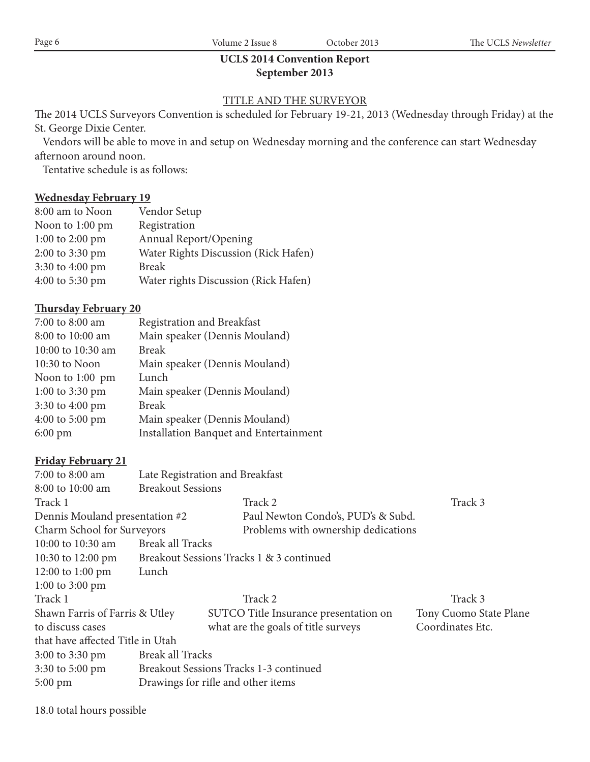# **UCLS 2014 Convention Report September 2013**

# TITLE AND THE SURVEYOR

The 2014 UCLS Surveyors Convention is scheduled for February 19-21, 2013 (Wednesday through Friday) at the St. George Dixie Center.

 Vendors will be able to move in and setup on Wednesday morning and the conference can start Wednesday afternoon around noon.

Tentative schedule is as follows:

# **Wednesday February 19**

| 8:00 am to Noon | Vendor Setup                         |
|-----------------|--------------------------------------|
| Noon to 1:00 pm | Registration                         |
| 1:00 to 2:00 pm | Annual Report/Opening                |
| 2:00 to 3:30 pm | Water Rights Discussion (Rick Hafen) |
| 3:30 to 4:00 pm | <b>Break</b>                         |
| 4:00 to 5:30 pm | Water rights Discussion (Rick Hafen) |

# **Thursday February 20**

| 7:00 to 8:00 am   | Registration and Breakfast                    |
|-------------------|-----------------------------------------------|
| 8:00 to 10:00 am  | Main speaker (Dennis Mouland)                 |
| 10:00 to 10:30 am | <b>Break</b>                                  |
| 10:30 to Noon     | Main speaker (Dennis Mouland)                 |
| Noon to 1:00 pm   | Lunch                                         |
| 1:00 to 3:30 pm   | Main speaker (Dennis Mouland)                 |
| 3:30 to 4:00 pm   | <b>Break</b>                                  |
| 4:00 to 5:00 pm   | Main speaker (Dennis Mouland)                 |
| $6:00 \text{ pm}$ | <b>Installation Banquet and Entertainment</b> |

# **Friday February 21**

| 7:00 to 8:00 am                  |                          | Late Registration and Breakfast          |                        |
|----------------------------------|--------------------------|------------------------------------------|------------------------|
| 8:00 to 10:00 am                 | <b>Breakout Sessions</b> |                                          |                        |
| Track 1                          |                          | Track 2                                  | Track 3                |
| Dennis Mouland presentation #2   |                          | Paul Newton Condo's, PUD's & Subd.       |                        |
| Charm School for Surveyors       |                          | Problems with ownership dedications      |                        |
| 10:00 to 10:30 am                | Break all Tracks         |                                          |                        |
| 10:30 to 12:00 pm                |                          | Breakout Sessions Tracks 1 & 3 continued |                        |
| 12:00 to 1:00 pm                 | Lunch                    |                                          |                        |
| 1:00 to 3:00 pm                  |                          |                                          |                        |
| Track 1                          |                          | Track 2                                  | Track 3                |
| Shawn Farris of Farris & Utley   |                          | SUTCO Title Insurance presentation on    | Tony Cuomo State Plane |
| to discuss cases                 |                          | what are the goals of title surveys      | Coordinates Etc.       |
| that have affected Title in Utah |                          |                                          |                        |
| 3:00 to 3:30 pm                  | <b>Break all Tracks</b>  |                                          |                        |
| 3:30 to 5:00 pm                  |                          | Breakout Sessions Tracks 1-3 continued   |                        |
| $5:00 \text{ pm}$                |                          | Drawings for rifle and other items       |                        |

18.0 total hours possible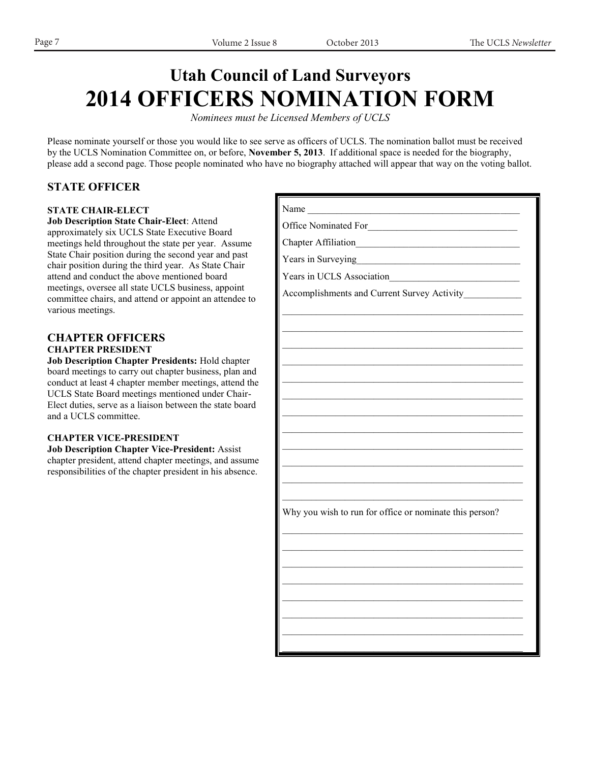# **Utah Council of Land Surveyors 2014 OFFICERS NOMINATION FORM**

*Nominees must be Licensed Members of UCLS*

Please nominate yourself or those you would like to see serve as officers of UCLS. The nomination ballot must be received by the UCLS Nomination Committee on, or before, **November 5, 2013**. If additional space is needed for the biography, please add a second page. Those people nominated who have no biography attached will appear that way on the voting ballot.

# **STATE OFFICER**

### **STATE CHAIR-ELECT**

**Job Description State Chair-Elect**: Attend approximately six UCLS State Executive Board meetings held throughout the state per year. Assume State Chair position during the second year and past chair position during the third year. As State Chair attend and conduct the above mentioned board meetings, oversee all state UCLS business, appoint committee chairs, and attend or appoint an attendee to various meetings.

# **CHAPTER OFFICERS CHAPTER PRESIDENT**

**Job Description Chapter Presidents:** Hold chapter board meetings to carry out chapter business, plan and conduct at least 4 chapter member meetings, attend the UCLS State Board meetings mentioned under Chair-Elect duties, serve as a liaison between the state board and a UCLS committee.

### **CHAPTER VICE-PRESIDENT**

**Job Description Chapter Vice-President:** Assist chapter president, attend chapter meetings, and assume responsibilities of the chapter president in his absence.

| Name                                                    |
|---------------------------------------------------------|
| Office Nominated For                                    |
|                                                         |
| Years in Surveying The Contract of Surveying            |
| Years in UCLS Association                               |
| Accomplishments and Current Survey Activity             |
|                                                         |
|                                                         |
|                                                         |
|                                                         |
|                                                         |
|                                                         |
|                                                         |
|                                                         |
|                                                         |
|                                                         |
|                                                         |
|                                                         |
| Why you wish to run for office or nominate this person? |
|                                                         |
|                                                         |
|                                                         |
|                                                         |
|                                                         |
|                                                         |
|                                                         |
|                                                         |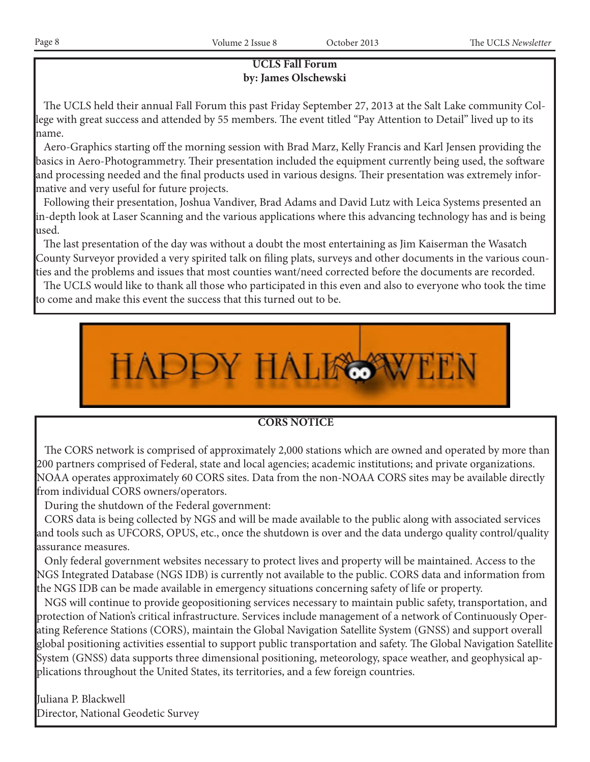# **UCLS Fall Forum by: James Olschewski**

 The UCLS held their annual Fall Forum this past Friday September 27, 2013 at the Salt Lake community College with great success and attended by 55 members. The event titled "Pay Attention to Detail" lived up to its name.

 Aero-Graphics starting off the morning session with Brad Marz, Kelly Francis and Karl Jensen providing the basics in Aero-Photogrammetry. Their presentation included the equipment currently being used, the software and processing needed and the final products used in various designs. Their presentation was extremely informative and very useful for future projects.

 Following their presentation, Joshua Vandiver, Brad Adams and David Lutz with Leica Systems presented an in-depth look at Laser Scanning and the various applications where this advancing technology has and is being used.

 The last presentation of the day was without a doubt the most entertaining as Jim Kaiserman the Wasatch County Surveyor provided a very spirited talk on filing plats, surveys and other documents in the various counties and the problems and issues that most counties want/need corrected before the documents are recorded.

 The UCLS would like to thank all those who participated in this even and also to everyone who took the time to come and make this event the success that this turned out to be.



# **CORS NOTICE**

 The CORS network is comprised of approximately 2,000 stations which are owned and operated by more than 200 partners comprised of Federal, state and local agencies; academic institutions; and private organizations. NOAA operates approximately 60 CORS sites. Data from the non-NOAA CORS sites may be available directly from individual CORS owners/operators.

During the shutdown of the Federal government:

 CORS data is being collected by NGS and will be made available to the public along with associated services and tools such as UFCORS, OPUS, etc., once the shutdown is over and the data undergo quality control/quality assurance measures.

 Only federal government websites necessary to protect lives and property will be maintained. Access to the NGS Integrated Database (NGS IDB) is currently not available to the public. CORS data and information from the NGS IDB can be made available in emergency situations concerning safety of life or property.

 NGS will continue to provide geopositioning services necessary to maintain public safety, transportation, and protection of Nation's critical infrastructure. Services include management of a network of Continuously Operating Reference Stations (CORS), maintain the Global Navigation Satellite System (GNSS) and support overall global positioning activities essential to support public transportation and safety. The Global Navigation Satellite System (GNSS) data supports three dimensional positioning, meteorology, space weather, and geophysical applications throughout the United States, its territories, and a few foreign countries.

Juliana P. Blackwell Director, National Geodetic Survey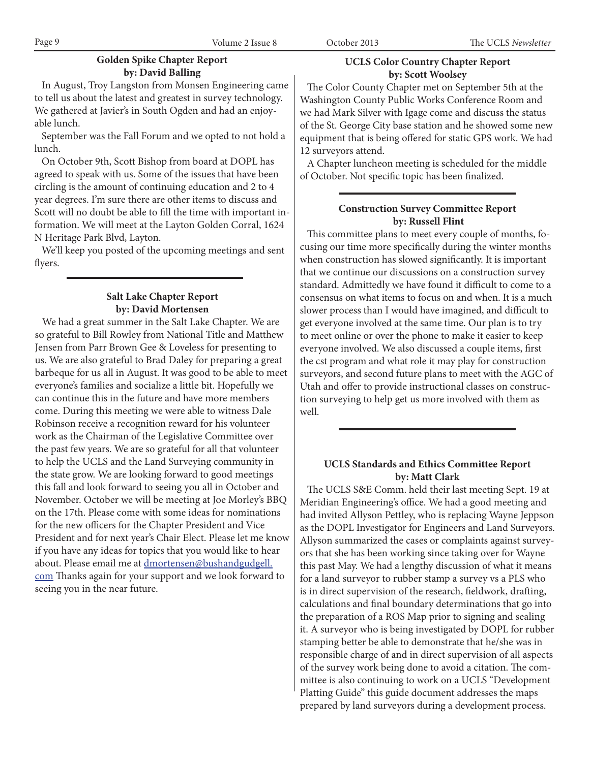# **Golden Spike Chapter Report by: David Balling**

 In August, Troy Langston from Monsen Engineering came to tell us about the latest and greatest in survey technology. We gathered at Javier's in South Ogden and had an enjoyable lunch.

 September was the Fall Forum and we opted to not hold a lunch.

 On October 9th, Scott Bishop from board at DOPL has agreed to speak with us. Some of the issues that have been circling is the amount of continuing education and 2 to 4 year degrees. I'm sure there are other items to discuss and Scott will no doubt be able to fill the time with important information. We will meet at the Layton Golden Corral, 1624 N Heritage Park Blvd, Layton.

 We'll keep you posted of the upcoming meetings and sent flyers.

## **Salt Lake Chapter Report by: David Mortensen**

 We had a great summer in the Salt Lake Chapter. We are so grateful to Bill Rowley from National Title and Matthew Jensen from Parr Brown Gee & Loveless for presenting to us. We are also grateful to Brad Daley for preparing a great barbeque for us all in August. It was good to be able to meet everyone's families and socialize a little bit. Hopefully we can continue this in the future and have more members come. During this meeting we were able to witness Dale Robinson receive a recognition reward for his volunteer work as the Chairman of the Legislative Committee over the past few years. We are so grateful for all that volunteer to help the UCLS and the Land Surveying community in the state grow. We are looking forward to good meetings this fall and look forward to seeing you all in October and November. October we will be meeting at Joe Morley's BBQ on the 17th. Please come with some ideas for nominations for the new officers for the Chapter President and Vice President and for next year's Chair Elect. Please let me know if you have any ideas for topics that you would like to hear about. Please email me at **dmortensen@bushandgudgell**. com Thanks again for your support and we look forward to seeing you in the near future.

# **UCLS Color Country Chapter Report by: Scott Woolsey**

 The Color County Chapter met on September 5th at the Washington County Public Works Conference Room and we had Mark Silver with Igage come and discuss the status of the St. George City base station and he showed some new equipment that is being offered for static GPS work. We had 12 surveyors attend.

 A Chapter luncheon meeting is scheduled for the middle of October. Not specific topic has been finalized.

# **Construction Survey Committee Report by: Russell Flint**

 This committee plans to meet every couple of months, focusing our time more specifically during the winter months when construction has slowed significantly. It is important that we continue our discussions on a construction survey standard. Admittedly we have found it difficult to come to a consensus on what items to focus on and when. It is a much slower process than I would have imagined, and difficult to get everyone involved at the same time. Our plan is to try to meet online or over the phone to make it easier to keep everyone involved. We also discussed a couple items, first the cst program and what role it may play for construction surveyors, and second future plans to meet with the AGC of Utah and offer to provide instructional classes on construction surveying to help get us more involved with them as well.

# **UCLS Standards and Ethics Committee Report by: Matt Clark**

 The UCLS S&E Comm. held their last meeting Sept. 19 at Meridian Engineering's office. We had a good meeting and had invited Allyson Pettley, who is replacing Wayne Jeppson as the DOPL Investigator for Engineers and Land Surveyors. Allyson summarized the cases or complaints against surveyors that she has been working since taking over for Wayne this past May. We had a lengthy discussion of what it means for a land surveyor to rubber stamp a survey vs a PLS who is in direct supervision of the research, fieldwork, drafting, calculations and final boundary determinations that go into the preparation of a ROS Map prior to signing and sealing it. A surveyor who is being investigated by DOPL for rubber stamping better be able to demonstrate that he/she was in responsible charge of and in direct supervision of all aspects of the survey work being done to avoid a citation. The committee is also continuing to work on a UCLS "Development Platting Guide" this guide document addresses the maps prepared by land surveyors during a development process.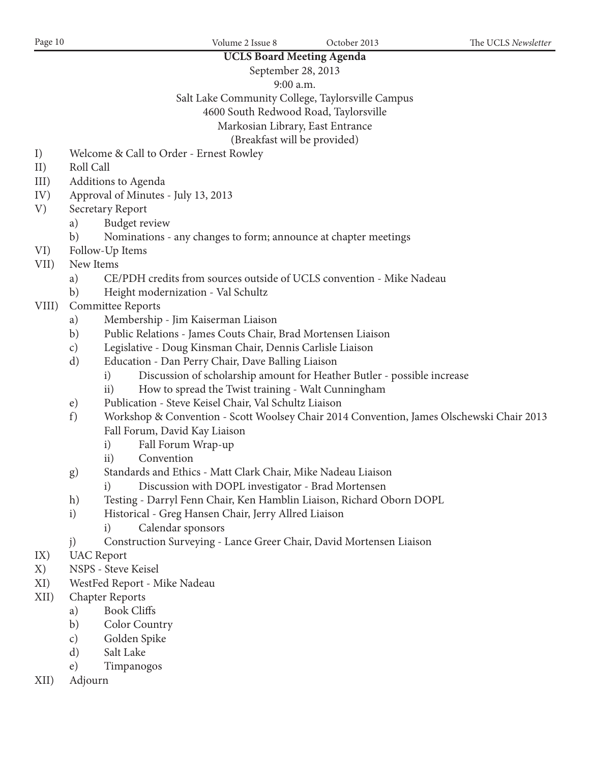## **UCLS Board Meeting Agenda** September 28, 2013

9:00 a.m.

Salt Lake Community College, Taylorsville Campus

4600 South Redwood Road, Taylorsville

Markosian Library, East Entrance

(Breakfast will be provided)

- I) Welcome & Call to Order Ernest Rowley
- II) Roll Call
- III) Additions to Agenda
- IV) Approval of Minutes July 13, 2013
- V) Secretary Report
	- a) Budget review
	- b) Nominations any changes to form; announce at chapter meetings
- VI) Follow-Up Items
- VII) New Items
	- a) CE/PDH credits from sources outside of UCLS convention Mike Nadeau
	- b) Height modernization Val Schultz
- VIII) Committee Reports
	- a) Membership Jim Kaiserman Liaison
	- b) Public Relations James Couts Chair, Brad Mortensen Liaison
	- c) Legislative Doug Kinsman Chair, Dennis Carlisle Liaison
	- d) Education Dan Perry Chair, Dave Balling Liaison
		- i) Discussion of scholarship amount for Heather Butler possible increase
		- ii) How to spread the Twist training Walt Cunningham
	- e) Publication Steve Keisel Chair, Val Schultz Liaison
	- f) Workshop & Convention Scott Woolsey Chair 2014 Convention, James Olschewski Chair 2013 Fall Forum, David Kay Liaison
		- i) Fall Forum Wrap-up
		- ii) Convention
	- g) Standards and Ethics Matt Clark Chair, Mike Nadeau Liaison
		- i) Discussion with DOPL investigator Brad Mortensen
	- h) Testing Darryl Fenn Chair, Ken Hamblin Liaison, Richard Oborn DOPL
	- i) Historical Greg Hansen Chair, Jerry Allred Liaison
		- i) Calendar sponsors
	- j) Construction Surveying Lance Greer Chair, David Mortensen Liaison
- IX) UAC Report
- X) NSPS Steve Keisel
- XI) WestFed Report Mike Nadeau
- XII) Chapter Reports
	- a) Book Cliffs
	- b) Color Country
	- c) Golden Spike
	- d) Salt Lake
	- e) Timpanogos
- XII) Adjourn